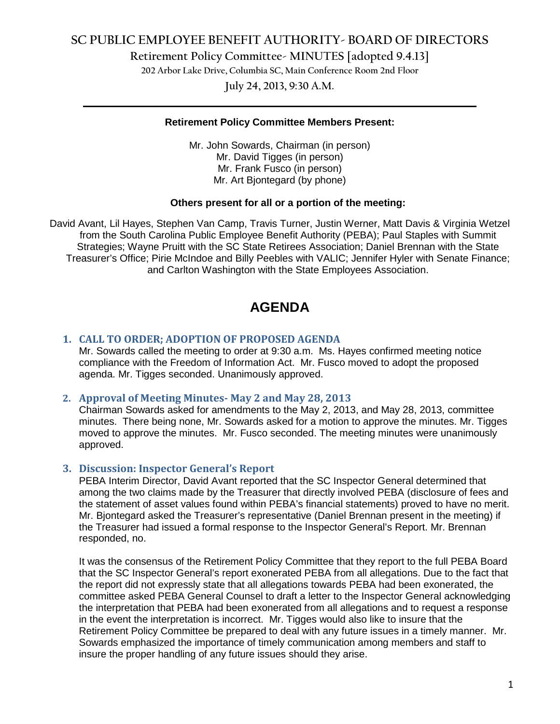## **SC PUBLIC EMPLOYEE BENEFIT AUTHORITY- BOARD OF DIRECTORS**

**Retirement Policy Committee- MINUTES [adopted 9.4.13]**

**202 Arbor Lake Drive, Columbia SC, Main Conference Room 2nd Floor**

**July 24, 2013, 9:30 A.M. \_\_\_\_\_\_\_\_\_\_\_\_\_\_\_\_\_\_\_\_\_\_\_\_\_\_\_\_\_\_\_\_\_\_\_\_\_\_\_\_\_\_\_\_\_\_\_\_\_\_\_\_\_\_\_\_\_\_\_\_\_\_\_\_\_\_\_\_\_\_\_\_**

### **Retirement Policy Committee Members Present:**

Mr. John Sowards, Chairman (in person) Mr. David Tigges (in person) Mr. Frank Fusco (in person) Mr. Art Bjontegard (by phone)

#### **Others present for all or a portion of the meeting:**

David Avant, Lil Hayes, Stephen Van Camp, Travis Turner, Justin Werner, Matt Davis & Virginia Wetzel from the South Carolina Public Employee Benefit Authority (PEBA); Paul Staples with Summit Strategies; Wayne Pruitt with the SC State Retirees Association; Daniel Brennan with the State Treasurer's Office; Pirie McIndoe and Billy Peebles with VALIC; Jennifer Hyler with Senate Finance; and Carlton Washington with the State Employees Association.

# **AGENDA**

### **1. CALL TO ORDER; ADOPTION OF PROPOSED AGENDA**

Mr. Sowards called the meeting to order at 9:30 a.m. Ms. Hayes confirmed meeting notice compliance with the Freedom of Information Act. Mr. Fusco moved to adopt the proposed agenda. Mr. Tigges seconded. Unanimously approved.

### **2. Approval of Meeting Minutes- May 2 and May 28, 2013**

Chairman Sowards asked for amendments to the May 2, 2013, and May 28, 2013, committee minutes. There being none, Mr. Sowards asked for a motion to approve the minutes. Mr. Tigges moved to approve the minutes. Mr. Fusco seconded. The meeting minutes were unanimously approved.

### **3. Discussion: Inspector General's Report**

PEBA Interim Director, David Avant reported that the SC Inspector General determined that among the two claims made by the Treasurer that directly involved PEBA (disclosure of fees and the statement of asset values found within PEBA's financial statements) proved to have no merit. Mr. Bjontegard asked the Treasurer's representative (Daniel Brennan present in the meeting) if the Treasurer had issued a formal response to the Inspector General's Report. Mr. Brennan responded, no.

It was the consensus of the Retirement Policy Committee that they report to the full PEBA Board that the SC Inspector General's report exonerated PEBA from all allegations. Due to the fact that the report did not expressly state that all allegations towards PEBA had been exonerated, the committee asked PEBA General Counsel to draft a letter to the Inspector General acknowledging the interpretation that PEBA had been exonerated from all allegations and to request a response in the event the interpretation is incorrect. Mr. Tigges would also like to insure that the Retirement Policy Committee be prepared to deal with any future issues in a timely manner. Mr. Sowards emphasized the importance of timely communication among members and staff to insure the proper handling of any future issues should they arise.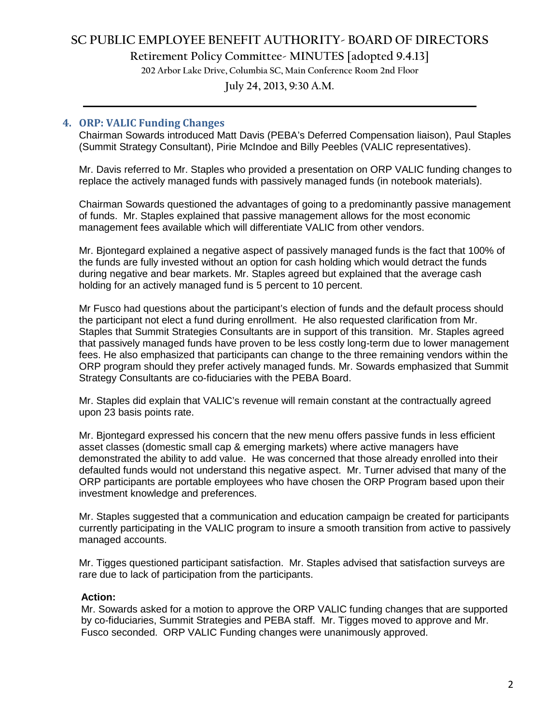## **SC PUBLIC EMPLOYEE BENEFIT AUTHORITY- BOARD OF DIRECTORS**

**Retirement Policy Committee- MINUTES [adopted 9.4.13]**

**202 Arbor Lake Drive, Columbia SC, Main Conference Room 2nd Floor**

## **July 24, 2013, 9:30 A.M. \_\_\_\_\_\_\_\_\_\_\_\_\_\_\_\_\_\_\_\_\_\_\_\_\_\_\_\_\_\_\_\_\_\_\_\_\_\_\_\_\_\_\_\_\_\_\_\_\_\_\_\_\_\_\_\_\_\_\_\_\_\_\_\_\_\_\_\_\_\_\_\_**

## **4. ORP: VALIC Funding Changes**

Chairman Sowards introduced Matt Davis (PEBA's Deferred Compensation liaison), Paul Staples (Summit Strategy Consultant), Pirie McIndoe and Billy Peebles (VALIC representatives).

Mr. Davis referred to Mr. Staples who provided a presentation on ORP VALIC funding changes to replace the actively managed funds with passively managed funds (in notebook materials).

Chairman Sowards questioned the advantages of going to a predominantly passive management of funds. Mr. Staples explained that passive management allows for the most economic management fees available which will differentiate VALIC from other vendors.

Mr. Bjontegard explained a negative aspect of passively managed funds is the fact that 100% of the funds are fully invested without an option for cash holding which would detract the funds during negative and bear markets. Mr. Staples agreed but explained that the average cash holding for an actively managed fund is 5 percent to 10 percent.

Mr Fusco had questions about the participant's election of funds and the default process should the participant not elect a fund during enrollment. He also requested clarification from Mr. Staples that Summit Strategies Consultants are in support of this transition. Mr. Staples agreed that passively managed funds have proven to be less costly long-term due to lower management fees. He also emphasized that participants can change to the three remaining vendors within the ORP program should they prefer actively managed funds. Mr. Sowards emphasized that Summit Strategy Consultants are co-fiduciaries with the PEBA Board.

Mr. Staples did explain that VALIC's revenue will remain constant at the contractually agreed upon 23 basis points rate.

Mr. Bjontegard expressed his concern that the new menu offers passive funds in less efficient asset classes (domestic small cap & emerging markets) where active managers have demonstrated the ability to add value. He was concerned that those already enrolled into their defaulted funds would not understand this negative aspect. Mr. Turner advised that many of the ORP participants are portable employees who have chosen the ORP Program based upon their investment knowledge and preferences.

Mr. Staples suggested that a communication and education campaign be created for participants currently participating in the VALIC program to insure a smooth transition from active to passively managed accounts.

Mr. Tigges questioned participant satisfaction. Mr. Staples advised that satisfaction surveys are rare due to lack of participation from the participants.

### **Action:**

Mr. Sowards asked for a motion to approve the ORP VALIC funding changes that are supported by co-fiduciaries, Summit Strategies and PEBA staff. Mr. Tigges moved to approve and Mr. Fusco seconded. ORP VALIC Funding changes were unanimously approved.